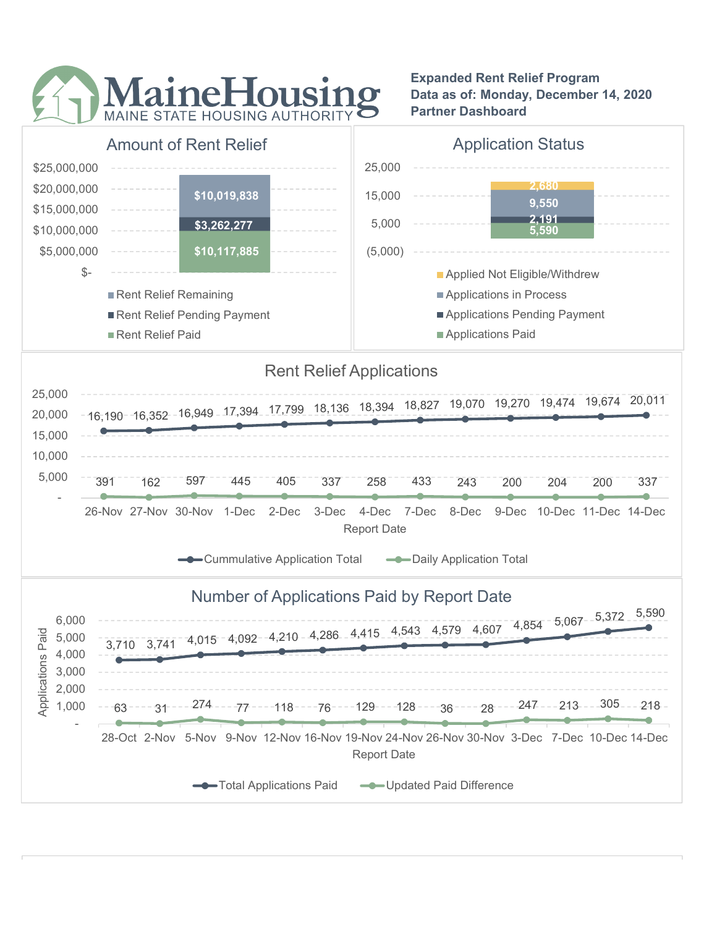

Expanded Rent Relief Program Data as of: Monday, December 14, 2020 Partner Dashboard